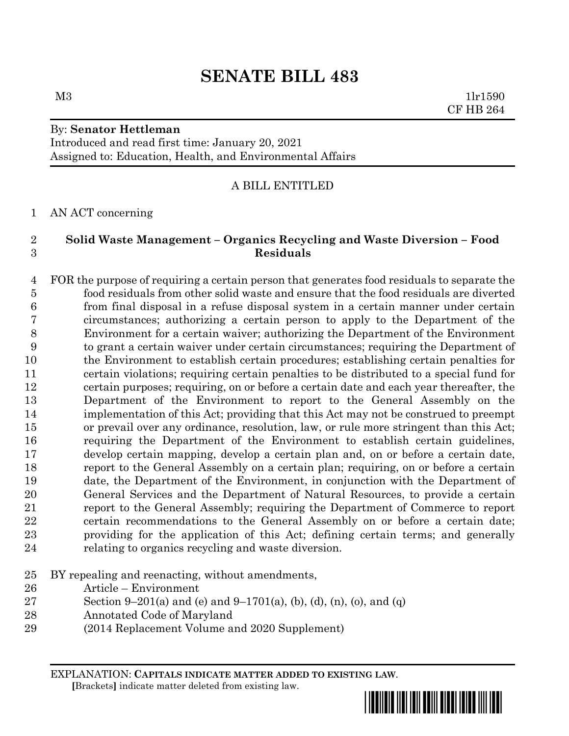# **SENATE BILL 483**

## By: **Senator Hettleman**

Introduced and read first time: January 20, 2021 Assigned to: Education, Health, and Environmental Affairs

## A BILL ENTITLED

AN ACT concerning

### **Solid Waste Management – Organics Recycling and Waste Diversion – Food Residuals**

 FOR the purpose of requiring a certain person that generates food residuals to separate the food residuals from other solid waste and ensure that the food residuals are diverted from final disposal in a refuse disposal system in a certain manner under certain circumstances; authorizing a certain person to apply to the Department of the Environment for a certain waiver; authorizing the Department of the Environment to grant a certain waiver under certain circumstances; requiring the Department of the Environment to establish certain procedures; establishing certain penalties for certain violations; requiring certain penalties to be distributed to a special fund for certain purposes; requiring, on or before a certain date and each year thereafter, the Department of the Environment to report to the General Assembly on the implementation of this Act; providing that this Act may not be construed to preempt or prevail over any ordinance, resolution, law, or rule more stringent than this Act; requiring the Department of the Environment to establish certain guidelines, develop certain mapping, develop a certain plan and, on or before a certain date, report to the General Assembly on a certain plan; requiring, on or before a certain date, the Department of the Environment, in conjunction with the Department of General Services and the Department of Natural Resources, to provide a certain report to the General Assembly; requiring the Department of Commerce to report certain recommendations to the General Assembly on or before a certain date; providing for the application of this Act; defining certain terms; and generally relating to organics recycling and waste diversion.

- BY repealing and reenacting, without amendments,
- Article Environment
- 27 Section 9–201(a) and (e) and 9–1701(a), (b), (d), (n), (o), and (q)
- Annotated Code of Maryland
- (2014 Replacement Volume and 2020 Supplement)

EXPLANATION: **CAPITALS INDICATE MATTER ADDED TO EXISTING LAW**.  **[**Brackets**]** indicate matter deleted from existing law.





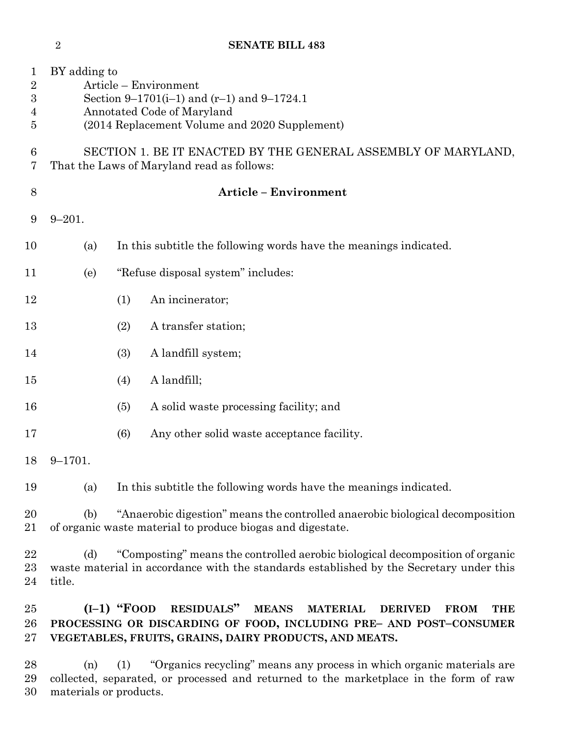|                                                                          | $\sqrt{2}$                                                                                                  | <b>SENATE BILL 483</b>                                                                                                                                                   |
|--------------------------------------------------------------------------|-------------------------------------------------------------------------------------------------------------|--------------------------------------------------------------------------------------------------------------------------------------------------------------------------|
| $\mathbf 1$<br>$\overline{2}$<br>$\boldsymbol{3}$<br>4<br>$\overline{5}$ | BY adding to                                                                                                | Article – Environment<br>Section 9–1701(i–1) and $(r-1)$ and 9–1724.1<br>Annotated Code of Maryland<br>(2014 Replacement Volume and 2020 Supplement)                     |
| 6<br>7                                                                   | SECTION 1. BE IT ENACTED BY THE GENERAL ASSEMBLY OF MARYLAND,<br>That the Laws of Maryland read as follows: |                                                                                                                                                                          |
| 8                                                                        |                                                                                                             | <b>Article - Environment</b>                                                                                                                                             |
| 9                                                                        | $9 - 201.$                                                                                                  |                                                                                                                                                                          |
| 10                                                                       | (a)                                                                                                         | In this subtitle the following words have the meanings indicated.                                                                                                        |
| 11                                                                       | (e)                                                                                                         | "Refuse disposal system" includes:                                                                                                                                       |
| 12                                                                       |                                                                                                             | An incinerator;<br>(1)                                                                                                                                                   |
| 13                                                                       |                                                                                                             | A transfer station;<br>(2)                                                                                                                                               |
| 14                                                                       |                                                                                                             | A landfill system;<br>(3)                                                                                                                                                |
| 15                                                                       |                                                                                                             | A landfill;<br>(4)                                                                                                                                                       |
| 16                                                                       |                                                                                                             | A solid waste processing facility; and<br>(5)                                                                                                                            |
| 17                                                                       |                                                                                                             | (6)<br>Any other solid waste acceptance facility.                                                                                                                        |
| 18                                                                       | $9 - 1701.$                                                                                                 |                                                                                                                                                                          |
| 19                                                                       | (a)                                                                                                         | In this subtitle the following words have the meanings indicated.                                                                                                        |
| 20<br>21                                                                 | (b)                                                                                                         | "Anaerobic digestion" means the controlled anaerobic biological decomposition<br>of organic waste material to produce biogas and digestate.                              |
| 22<br>23<br>24                                                           | (d)<br>title.                                                                                               | "Composting" means the controlled aerobic biological decomposition of organic<br>waste material in accordance with the standards established by the Secretary under this |

 **(I–1) "FOOD RESIDUALS" MEANS MATERIAL DERIVED FROM THE PROCESSING OR DISCARDING OF FOOD, INCLUDING PRE– AND POST–CONSUMER VEGETABLES, FRUITS, GRAINS, DAIRY PRODUCTS, AND MEATS.**

 (n) (1) "Organics recycling" means any process in which organic materials are collected, separated, or processed and returned to the marketplace in the form of raw materials or products.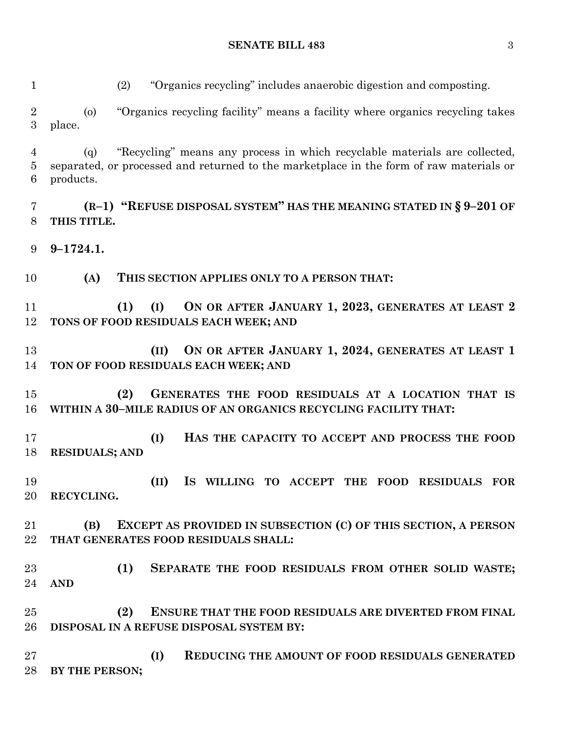(2) "Organics recycling" includes anaerobic digestion and composting.

 (o) "Organics recycling facility" means a facility where organics recycling takes place.

 (q) "Recycling" means any process in which recyclable materials are collected, separated, or processed and returned to the marketplace in the form of raw materials or products.

 **(R–1) "REFUSE DISPOSAL SYSTEM" HAS THE MEANING STATED IN § 9–201 OF THIS TITLE.**

**9–1724.1.**

**(A) THIS SECTION APPLIES ONLY TO A PERSON THAT:**

 **(1) (I) ON OR AFTER JANUARY 1, 2023, GENERATES AT LEAST 2 TONS OF FOOD RESIDUALS EACH WEEK; AND** 

 **(II) ON OR AFTER JANUARY 1, 2024, GENERATES AT LEAST 1 TON OF FOOD RESIDUALS EACH WEEK; AND**

 **(2) GENERATES THE FOOD RESIDUALS AT A LOCATION THAT IS WITHIN A 30–MILE RADIUS OF AN ORGANICS RECYCLING FACILITY THAT:**

 **(I) HAS THE CAPACITY TO ACCEPT AND PROCESS THE FOOD RESIDUALS; AND**

 **(II) IS WILLING TO ACCEPT THE FOOD RESIDUALS FOR RECYCLING.**

 **(B) EXCEPT AS PROVIDED IN SUBSECTION (C) OF THIS SECTION, A PERSON THAT GENERATES FOOD RESIDUALS SHALL:**

 **(1) SEPARATE THE FOOD RESIDUALS FROM OTHER SOLID WASTE; AND**

 **(2) ENSURE THAT THE FOOD RESIDUALS ARE DIVERTED FROM FINAL DISPOSAL IN A REFUSE DISPOSAL SYSTEM BY:**

 **(I) REDUCING THE AMOUNT OF FOOD RESIDUALS GENERATED BY THE PERSON;**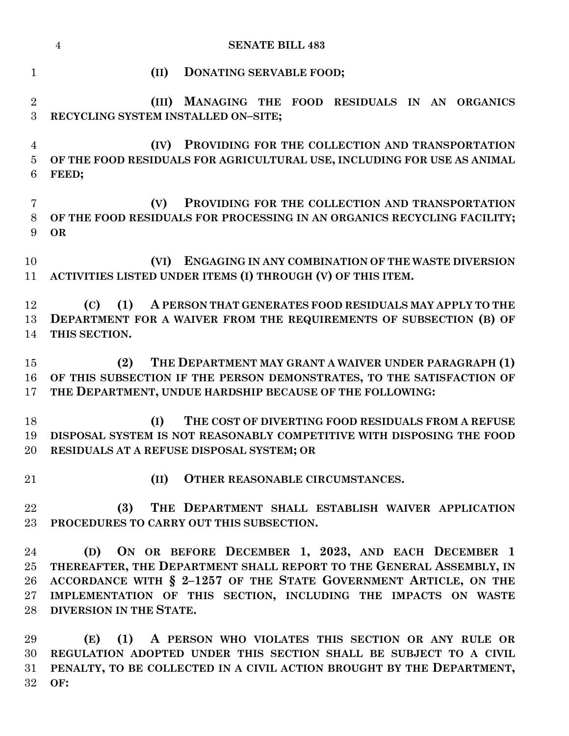|                | <b>SENATE BILL 483</b><br>$\overline{4}$                                                                                      |
|----------------|-------------------------------------------------------------------------------------------------------------------------------|
| $\mathbf{1}$   | DONATING SERVABLE FOOD;<br>(II)                                                                                               |
| $\sqrt{2}$     | MANAGING THE FOOD RESIDUALS IN AN ORGANICS<br>(III)                                                                           |
| 3              | RECYCLING SYSTEM INSTALLED ON-SITE;                                                                                           |
|                |                                                                                                                               |
| $\overline{4}$ | PROVIDING FOR THE COLLECTION AND TRANSPORTATION<br>(IV)                                                                       |
| $\overline{5}$ | OF THE FOOD RESIDUALS FOR AGRICULTURAL USE, INCLUDING FOR USE AS ANIMAL                                                       |
| 6              | FEED;                                                                                                                         |
| 7              | PROVIDING FOR THE COLLECTION AND TRANSPORTATION<br>(V)                                                                        |
| 8              | OF THE FOOD RESIDUALS FOR PROCESSING IN AN ORGANICS RECYCLING FACILITY;                                                       |
| 9              | <b>OR</b>                                                                                                                     |
|                |                                                                                                                               |
| 10             | ENGAGING IN ANY COMBINATION OF THE WASTE DIVERSION<br>(VI)                                                                    |
| 11             | ACTIVITIES LISTED UNDER ITEMS (I) THROUGH (V) OF THIS ITEM.                                                                   |
|                |                                                                                                                               |
| 12             | (C)<br>A PERSON THAT GENERATES FOOD RESIDUALS MAY APPLY TO THE<br>(1)                                                         |
| 13<br>14       | DEPARTMENT FOR A WAIVER FROM THE REQUIREMENTS OF SUBSECTION (B) OF<br>THIS SECTION.                                           |
|                |                                                                                                                               |
| 15             | THE DEPARTMENT MAY GRANT A WAIVER UNDER PARAGRAPH (1)<br>(2)                                                                  |
| 16             | OF THIS SUBSECTION IF THE PERSON DEMONSTRATES, TO THE SATISFACTION OF                                                         |
| 17             | THE DEPARTMENT, UNDUE HARDSHIP BECAUSE OF THE FOLLOWING:                                                                      |
|                |                                                                                                                               |
| 18             | THE COST OF DIVERTING FOOD RESIDUALS FROM A REFUSE<br>(I)                                                                     |
| 19<br>20       | DISPOSAL SYSTEM IS NOT REASONABLY COMPETITIVE WITH DISPOSING THE FOOD<br>RESIDUALS AT A REFUSE DISPOSAL SYSTEM; OR            |
|                |                                                                                                                               |
| 21             | OTHER REASONABLE CIRCUMSTANCES.<br>(II)                                                                                       |
|                |                                                                                                                               |
| 22             | (3)<br>THE DEPARTMENT SHALL ESTABLISH WAIVER APPLICATION                                                                      |
| 23             | PROCEDURES TO CARRY OUT THIS SUBSECTION.                                                                                      |
|                |                                                                                                                               |
| 24             | (D) ON OR BEFORE DECEMBER 1, 2023, AND EACH DECEMBER 1<br>THEREAFTER, THE DEPARTMENT SHALL REPORT TO THE GENERAL ASSEMBLY, IN |
| 25<br>26       | ACCORDANCE WITH § 2-1257 OF THE STATE GOVERNMENT ARTICLE, ON THE                                                              |
| $27\,$         | IMPLEMENTATION OF THIS SECTION, INCLUDING THE IMPACTS ON WASTE                                                                |
| 28             | DIVERSION IN THE STATE.                                                                                                       |
|                |                                                                                                                               |
| 29             | (1) A PERSON WHO VIOLATES THIS SECTION OR ANY RULE OR<br>(E)                                                                  |

 **REGULATION ADOPTED UNDER THIS SECTION SHALL BE SUBJECT TO A CIVIL PENALTY, TO BE COLLECTED IN A CIVIL ACTION BROUGHT BY THE DEPARTMENT, OF:**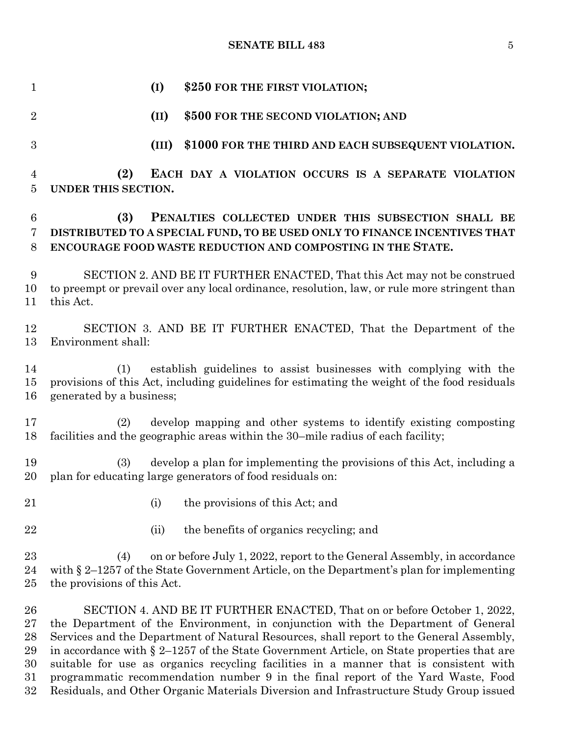#### **SENATE BILL 483** 5

 **(I) \$250 FOR THE FIRST VIOLATION; (II) \$500 FOR THE SECOND VIOLATION; AND (III) \$1000 FOR THE THIRD AND EACH SUBSEQUENT VIOLATION. (2) EACH DAY A VIOLATION OCCURS IS A SEPARATE VIOLATION UNDER THIS SECTION. (3) PENALTIES COLLECTED UNDER THIS SUBSECTION SHALL BE DISTRIBUTED TO A SPECIAL FUND, TO BE USED ONLY TO FINANCE INCENTIVES THAT ENCOURAGE FOOD WASTE REDUCTION AND COMPOSTING IN THE STATE.** SECTION 2. AND BE IT FURTHER ENACTED, That this Act may not be construed to preempt or prevail over any local ordinance, resolution, law, or rule more stringent than this Act. SECTION 3. AND BE IT FURTHER ENACTED, That the Department of the Environment shall: (1) establish guidelines to assist businesses with complying with the provisions of this Act, including guidelines for estimating the weight of the food residuals generated by a business; (2) develop mapping and other systems to identify existing composting facilities and the geographic areas within the 30–mile radius of each facility; (3) develop a plan for implementing the provisions of this Act, including a plan for educating large generators of food residuals on: 21 (i) the provisions of this Act; and 22 (ii) the benefits of organics recycling; and (4) on or before July 1, 2022, report to the General Assembly, in accordance with § 2–1257 of the State Government Article, on the Department's plan for implementing the provisions of this Act. SECTION 4. AND BE IT FURTHER ENACTED, That on or before October 1, 2022, the Department of the Environment, in conjunction with the Department of General Services and the Department of Natural Resources, shall report to the General Assembly, 29 in accordance with  $\S 2$ –1257 of the State Government Article, on State properties that are suitable for use as organics recycling facilities in a manner that is consistent with programmatic recommendation number 9 in the final report of the Yard Waste, Food Residuals, and Other Organic Materials Diversion and Infrastructure Study Group issued